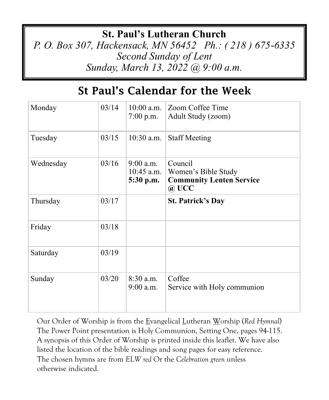## **St. Paul's Lutheran Church**

*P. O. Box 307, Hackensack, MN 56452 Ph.: ( 218 ) 675-6335 Second Sunday of Lent Sunday, March 13, 2022 @ 9:00 a.m.*

# St Paul's Calendar for the Week

| Monday    | 03/14 | $10:00$ a.m.<br>$7:00$ p.m.              | Zoom Coffee Time<br>Adult Study (zoom)                                            |
|-----------|-------|------------------------------------------|-----------------------------------------------------------------------------------|
| Tuesday   | 03/15 | $10:30$ a.m.                             | <b>Staff Meeting</b>                                                              |
| Wednesday | 03/16 | $9:00$ a.m.<br>$10:45$ a.m.<br>5:30 p.m. | Council<br>Women's Bible Study<br><b>Community Lenten Service</b><br>$\omega$ UCC |
| Thursday  | 03/17 |                                          | <b>St. Patrick's Day</b>                                                          |
| Friday    | 03/18 |                                          |                                                                                   |
| Saturday  | 03/19 |                                          |                                                                                   |
| Sunday    | 03/20 | $8:30$ a.m.<br>$9:00$ a.m.               | Coffee<br>Service with Holy communion                                             |

Our Order of Worship is from the Evangelical Lutheran Worship (*Red Hymnal*) The Power Point presentation is Holy Communion, Setting One, pages 94-115. A synopsis of this Order of Worship is printed inside this leaflet. We have also listed the location of the bible readings and song pages for easy reference. The chosen hymns are from *ELW red* Or the *Celebration green* unless otherwise indicated.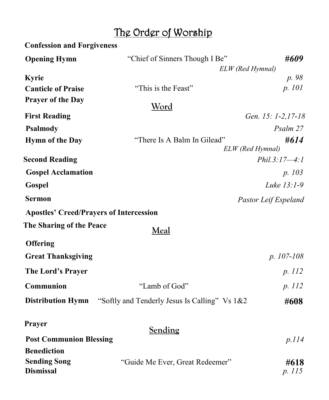# The Order of Worship

| <b>Confession and Forgiveness</b>              |                                                                        |                      |  |
|------------------------------------------------|------------------------------------------------------------------------|----------------------|--|
| <b>Opening Hymn</b>                            | "Chief of Sinners Though I Be"<br>#609                                 |                      |  |
|                                                | ELW (Red Hymnal)                                                       |                      |  |
| <b>Kyrie</b>                                   |                                                                        | p. 98                |  |
| <b>Canticle of Praise</b>                      | "This is the Feast"                                                    | p. 101               |  |
| <b>Prayer of the Day</b>                       | <u>Word</u>                                                            |                      |  |
| <b>First Reading</b>                           |                                                                        | Gen. 15: 1-2,17-18   |  |
| <b>Psalmody</b>                                |                                                                        | Psalm 27             |  |
| <b>Hymn of the Day</b>                         | "There Is A Balm In Gilead"<br>ELW (Red Hymnal)                        | #614                 |  |
| <b>Second Reading</b>                          |                                                                        | $Phil.3:17-4:1$      |  |
| <b>Gospel Acclamation</b>                      |                                                                        | p. 103               |  |
| Gospel                                         |                                                                        | Luke 13:1-9          |  |
| <b>Sermon</b>                                  |                                                                        | Pastor Leif Espeland |  |
| <b>Apostles' Creed/Prayers of Intercession</b> |                                                                        |                      |  |
| The Sharing of the Peace                       | <b>Meal</b>                                                            |                      |  |
| <b>Offering</b>                                |                                                                        |                      |  |
| <b>Great Thanksgiving</b>                      |                                                                        | $p. 107-108$         |  |
| The Lord's Prayer                              |                                                                        | p. 112               |  |
| Communion                                      | "Lamb of God"                                                          | p. 112               |  |
|                                                | <b>Distribution Hymn</b> "Softly and Tenderly Jesus Is Calling" Vs 1&2 | #608                 |  |
| Prayer                                         | Sending                                                                |                      |  |
| <b>Post Communion Blessing</b>                 |                                                                        | p.114                |  |
| <b>Benediction</b>                             |                                                                        |                      |  |
| <b>Sending Song</b><br><b>Dismissal</b>        | "Guide Me Ever, Great Redeemer"                                        | #618<br>p. 115       |  |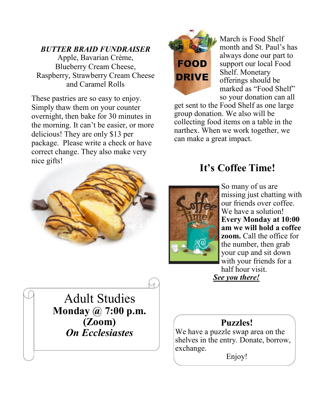#### *BUTTER BRAID FUNDRAISER*

Apple, Bavarian Crème, Blueberry Cream Cheese, Raspberry, Strawberry Cream Cheese and Caramel Rolls

These pastries are so easy to enjoy. Simply thaw them on your counter overnight, then bake for 30 minutes in the morning. It can't be easier, or more delicious! They are only \$13 per package. Please write a check or have correct change. They also make very nice gifts!





March is Food Shelf month and St. Paul's has always done our part to support our local Food Shelf. Monetary offerings should be marked as "Food Shelf" so your donation can all

get sent to the Food Shelf as one large group donation. We also will be collecting food items on a table in the narthex. When we work together, we can make a great impact.

## **It's Coffee Time!**



So many of us are missing just chatting with our friends over coffee. We have a solution! **Every Monday at 10:00 am we will hold a coffee zoom.** Call the office for the number, then grab your cup and sit down with your friends for a half hour visit. *See you there!* 

Adult Studies **Monday @ 7:00 p.m. (Zoom)** *On Ecclesiastes*

### **Puzzles!**

We have a puzzle swap area on the shelves in the entry. Donate, borrow, exchange.

Enjoy!